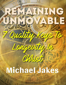# Michaeldakes

Christ

gewit

Walt

Lon

HNG

传言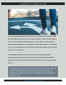

How would you describe your walk with the Lord? Would you say that your walk has been difficult or easy? Has the road been smooth or rocky? Or has it been a series of ups and downs? I believe that if we are all honest, we would have to admit that the Christian life is a combination of all of these and more. Yet through it all, I am sure that we can all say that the Lord has been faithful; even when are were not, He is still there.

The hardships and trials that do come our way, have a greater purpose. Everything that we go through can be said to have already come through the hands of the Lord, and He has determined that *we can take it*. The apostle Peter tells us:

"His divine power has given us everything required for life and godliness through the knowledge of Him who called us by His own glory and goodness" (2 Peter 1:3).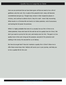Here we are promised that we have been given *all* that we need to live a life of godliness unto the Lord. Yet, in spite of this powerful truth, many still become overwhelmed and give up. Though many remain in their respective places in ministry, and continue to attend church, they hit a wall – never fully recovering. What results is a Christian life not lived to its fullest potential, void of assurance, and lacking the full power He promises.

While it is highly probable that none of us actually live our life in Christ to its *fullest* potential, those who have hit the wall do not live *quality* lives for Christ. We don't just want to survive for the Lord, and merely exist for Him. The goal is to live quality lives in the Lord, living out His purpose, assured of His presence and walking in the victory He secured for us at Calvary.

But how do we get here? How do I maintain a quality life in Christ? Allow me to offer these seven keys that I believe will assist you in your journey, and help you to live a *quality* life for the Lord.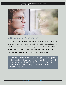

## 1. Do You Know Who You Are?

One of the greatest hindrances to living a quality life for the Lord is the inability to come to grips with who we actually are in Him. This inability to grab a hold of our identity carries with it a most serious liability. If someone does not know their identity in Christ, and what it means, then how can they live properly for Him? Paul the apostle speaks to us these powerful and instructional words:

"Ihave been crucified with Christ: it is no longer I who live, but Christ lives in me; and the life which I nowlive in the flesh I live by faith in the Son of God, who loved me and gave Himself for me" (Galatians 2:20).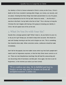Our identity in Christ is forever entwined in Christ's victory on the Cross. Christ's death on the Cross resulted in (among other things), our victory, our security, and our peace. Knowing that these things have been passed down to us by His grace, we are empowered to live for Him by faith. Notice his words, "…the life which I now live in the flesh I live by faith in the Son of God." This is the key to living the Christian life, but it begins with having a firm grasp on knowing your identity in Christ. We will speak more of this at the end.

## 2. What Do You Do with Your Sin?

Sounds like a strange question right? What I mean is, do you hold on to your sin, or do you let it go? Simply put, we need to keep short accounts. We should not wait until Sunday morning to ask the Lord to forgive our sins. This is something that should be done *daily*. When conviction comes, confession should be made immediately.

Don't fall for the popular, but error-laden voices which say that God's people don't need to ask for forgiveness anymore, or that the Holy Ghost never convicts us of sin. These are near blasphemous teachings that will lead the unassuming and non-discerning child of God down a terrible path. Once again, the time to ask for forgiveness, is the moment you realize you have sinned.

"If we confess our sins, He is faithful and just to forgive us our sins and to cleanse us from all unrighteousness" (1 John 1:9).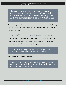"Blessed is the one whose transgressions are forgiven, whose sins are covered. Blessed is the one whose sin the LORD does not count against [them and in whose spirit is no deceit" \(](https://www.biblestudytools.com/psalms/passage/?q=psalms+32:1-2) Psalm 32:1-  $2)$ .

The psalmist goes on to speak of the absolute misery he experienced by keeping silent over his sin. The joy of knowing you are forgiven definitely enhances the quality life in Christ.

## 3. How Is Your Relationship with the Word?

One of the primary ingredients of a quality life in Christ is developing a healthy relationship with the Word of God. This relationship will help to solidify our knowledge of God, while insuring our spiritual growth.

"…but grow in the grace and knowledge of our Lord and Savior Jesus Christ" [\(](https://www.biblestudytools.com/2-peter/3-18.html)2 Peter 3:18).

We also read from the book of Matthew:

"Take My yoke upon you and learn from Me, for I am gentle and lowly in heart, and you will find rest for your souls" (Matthew 11:29).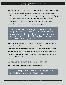While the King James Version renders the phrase here as "and learn *of* me." either way, it expresses the truth that we need to learn *about* Him, and the only way to do this is to learn *from* Him. Scripture is the key to learning about Him. Developing a relationship with the Word of God will also greatly enhance your ability to discern truth from error. A lack of spiritual discernment in a life not firmly grounded in Scripture, can result in a departure from right doctrine.

"For certain men have crept in unnoticed, who long ago were marked out for this condemnation, ungodly men, who turn the grace of our God into lewdness and deny the only Lord God and our Lord Jesus Christ" (Jude 1:4).

These men were able to creep in because there was a lack of discernment in the body, which then allowed these men to freely peddle their false teaching, turning God's grace into something other than what it was. The more intake of Scripture we have, the less likely it will be that we will be taken by the lies of false teachers. A proper relationship with the Word is paramount—especially in the age of Word of [Faith](https://www.biblestudytools.com/topical-verses/bible-verses-for-faith-in-hard-times/), and the Grace Revolution. Are you equipped to stand for the truth?

## 4. Are You Hungry for His Presence?

The beloved psalmist David wrote these precious words:

"As the deer pants for the water brooks, so pants my soul for You, O God" [\(](https://www.biblestudytools.com/psalms/42-1.html) $\mathrm{Psalm}$  42:1).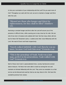Is that your summation of your relationship with the Lord? Do you want more of Him? Throughout our walk with the Lord, we are to maintain a hunger and thirst after the Lord.

"Blessed are those who hunger and thirst for righteousness, for they shall be filled" (Matthew  $5:6$ ).

Nurturing a constant hunger and thirst after the Lord will assure you of His presence in difficult times, while causing you to stay close by His side. We are told of two men in who walked with God. Not that many others did not; Scripture but for these Old Testament saints, it underscores their close fellowship with the Lord. We read of Enoch and respectively: Noah

"Enoch walked faithfully with God; then he was no more, because God took him away" [\(](https://www.biblestudytools.com/genesis/5-24.html)Genesis 5:24).

"This is the genealogy of Noah. Noah was a just man, perfect in his generations. Noah walked with God" ( Genesis 6:9).

Both of these men lived in unprecedented times; society had become wicked above measure. Yet these men were able to stand out among the rest and maintain an intimate fellowship with the Lord. They serve as examples to us that we too can be blessed and used by God as we stay close to Him. We have this wonderful promise from James: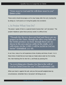#### "Draw near to God and He will draw near to you" [\(](https://www.biblestudytools.com/james/4-8.html)James 4:8a).

These words should encourage us all to stay hungry after the Lord, trusting that by doing so, it will assist us in living the quality lives we desire.

## 5. Is Praise What You Do?

The praise I speak of here is a special brand of praise that I call "yet praise." The prophet Habakkuk spoke these precious words in a difficult time:

"Though the fig tree does not bud and there are no grapes on the vines, though the olive crop fails and the fields produce no food, though there are no sheep in the pen and no cattle in the stalls, yet I will rejoice in the LORD, I will be joyful in God my Savior" [\(](https://www.biblestudytools.com/habakkuk/passage/?q=habakkuk+3:17-18)Habakkuk 3:17-18).

In our lives, many of us will experience times of plenty and times of want. It is in these times of need that we must keep our heads above water by first trusting Him, then thanking Him for who He is, and finally by praising Him.

#### "In everything give thanks; for this is the will of God in Christ Jesus for you" [\(](https://www.biblestudytools.com/1-thessalonians/5-18.html)1 Thessalonians 5:18).

When your back is against the wall, and you find yourself weighed down by circumstances, remember that a "yet praise" will bring you out.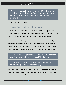"Why are you cast down, O my soul? And why are you disquieted within me? Hope in God, for I shall yet praise Him for the help of His countenance" (Psalm 42:5).

Do you have a yet praise in you?

## 6. Does the Lord Hear from You?

Closely related to your praise is your prayer time. Maintaining a quality life in Christ involves praying persistently and passionately, rather than periodically. The reason why many aren't consistent in prayer is because prayer is a **battle**.

In prayer, we are making a spiritual connection to God, and because of this, there will be obstacles that the enemy will raise up to prevent you from making that connection. He knows that when you meet with the Lord, you will be empowered against his wiles. We remember the words of our Savior and the apostle Paul:

"Then He spoke a parable to them, that men always ought to pray and not lose heart" [\(](https://www.biblestudytools.com/luke/18-1.html)Luke 18:1).

"Continue earnestly in prayer, being vigilant in it with thanksgiving" (Colossians 4:2).

For a quality life in Christ, let us make prayer a priority, not shrinking back from the enemy's assault. While he will remain hostile to our efforts, we must remain unflinching in our pursuit of God.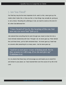## 7. Are You Tired?

Our final key may be the most important of all—and it is this: *never give up.* No matter what it looks like, or how you feel, or how things may actually be, giving up is *not* a choice. Recalling the sufferings of Job, we read his words at the end of it all, when God delivered him:

### "I have heard of You by the hearing of the ear, but now my eye sees You" [\(](https://www.biblestudytools.com/job/42-5.html)Job 42:5).

Job realized that everything that he went through was meant to draw him into a more intimate relationship with God. Through it all, he never gave up. Peter denied the Lord three times, yet his faith remained intact—he never gave up. Noah had no converts after preaching for so many years—but he never gave up.

#### "And let us not grow weary of doing good, for in due season we will reap, if we do not give up"  $(Galatians 6:9).$

It is my desire that these keys will encourage you and inspire you to stand firm and remain in your place; as I have learned them over the course of my life in the Lord.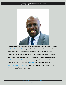

Michael Jakes is an Associate Pastor, Bible teacher, and writer. He is co-founder of [That's The Word! Ministries](https://thatstheword.org/), a distinctly Cross-centered outreach. He has also been active in youth ministry for over 30 years, and hosts four live weekly podcasts: 'The Sunday Sermon Series', 'The Line By Line Podcast', 'The Bible Speaks Live', and 'The Cutting It Right Bible Study'. Michael is also the author *of,* [The Lights In The Windows](https://www.amazon.com/LIGHTS-WINDOWS-POWERFUL-PRINCIPLES-EVANGELISM/dp/B084DGCNTP/ref=tmm_pap_swatch_0?_encoding=UTF8&qid=&sr=), a book focusing on the need for the Church to The Word Ministries | Facebook. Michael and his wife Eddye have been married [evangelize. You can follow him on](https://www.facebook.com/thatsthewordmin) [YouTube](https://www.youtube.com/user/revmjay) [and on his Facebook page at: That's](https://www.facebook.com/thatsthewordmin) for 40 years, and reside in New York.